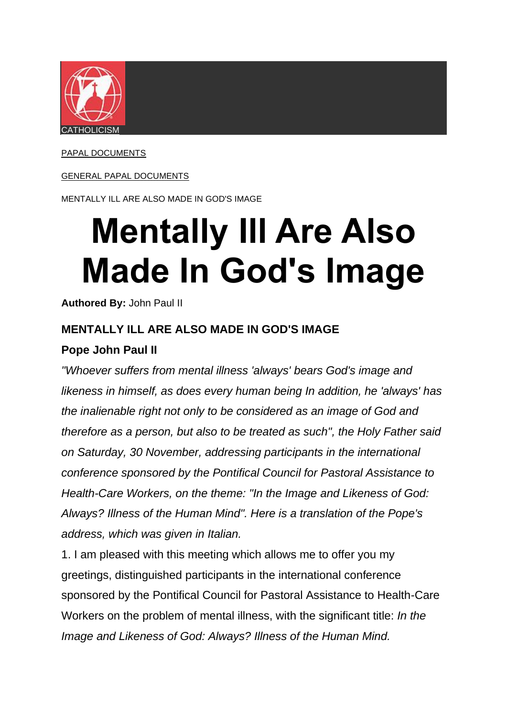

[PAPAL DOCUMENTS](https://www.ewtn.com/catholicism/library/papal-documents-857)

#### [GENERAL PAPAL DOCUMENTS](https://www.ewtn.com/catholicism/library/general-papal-documents-13677)

MENTALLY ILL ARE ALSO MADE IN GOD'S IMAGE

# **Mentally Ill Are Also Made In God's Image**

**Authored By:** John Paul II

#### **MENTALLY ILL ARE ALSO MADE IN GOD'S IMAGE**

#### **Pope John Paul II**

*"Whoever suffers from mental illness 'always' bears God's image and likeness in himself, as does every human being In addition, he 'always' has the inalienable right not only to be considered as an image of God and therefore as a person, but also to be treated as such", the Holy Father said on Saturday, 30 November, addressing participants in the international conference sponsored by the Pontifical Council for Pastoral Assistance to Health-Care Workers, on the theme: "In the Image and Likeness of God: Always? Illness of the Human Mind". Here is a translation of the Pope's address, which was given in Italian.*

1. I am pleased with this meeting which allows me to offer you my greetings, distinguished participants in the international conference sponsored by the Pontifical Council for Pastoral Assistance to Health-Care Workers on the problem of mental illness, with the significant title: *In the Image and Likeness of God: Always? Illness of the Human Mind.*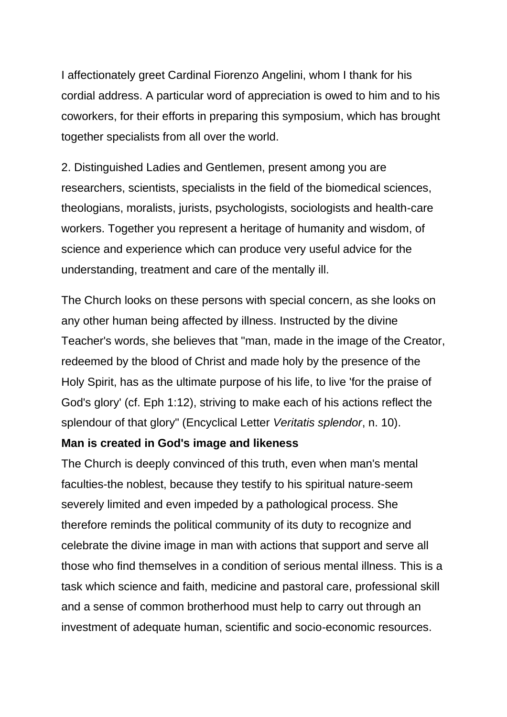I affectionately greet Cardinal Fiorenzo Angelini, whom I thank for his cordial address. A particular word of appreciation is owed to him and to his coworkers, for their efforts in preparing this symposium, which has brought together specialists from all over the world.

2. Distinguished Ladies and Gentlemen, present among you are researchers, scientists, specialists in the field of the biomedical sciences, theologians, moralists, jurists, psychologists, sociologists and health-care workers. Together you represent a heritage of humanity and wisdom, of science and experience which can produce very useful advice for the understanding, treatment and care of the mentally ill.

The Church looks on these persons with special concern, as she looks on any other human being affected by illness. Instructed by the divine Teacher's words, she believes that "man, made in the image of the Creator, redeemed by the blood of Christ and made holy by the presence of the Holy Spirit, has as the ultimate purpose of his life, to live 'for the praise of God's glory' (cf. Eph 1:12), striving to make each of his actions reflect the splendour of that glory" (Encyclical Letter *Veritatis splendor*, n. 10).

#### **Man is created in God's image and likeness**

The Church is deeply convinced of this truth, even when man's mental faculties-the noblest, because they testify to his spiritual nature-seem severely limited and even impeded by a pathological process. She therefore reminds the political community of its duty to recognize and celebrate the divine image in man with actions that support and serve all those who find themselves in a condition of serious mental illness. This is a task which science and faith, medicine and pastoral care, professional skill and a sense of common brotherhood must help to carry out through an investment of adequate human, scientific and socio-economic resources.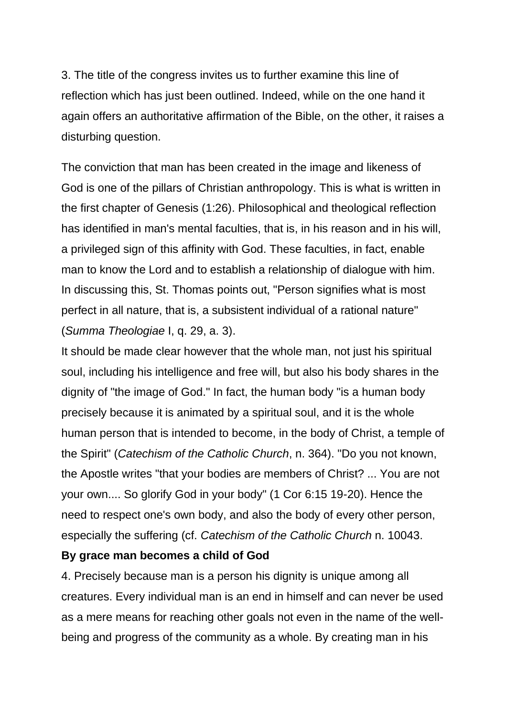3. The title of the congress invites us to further examine this line of reflection which has just been outlined. Indeed, while on the one hand it again offers an authoritative affirmation of the Bible, on the other, it raises a disturbing question.

The conviction that man has been created in the image and likeness of God is one of the pillars of Christian anthropology. This is what is written in the first chapter of Genesis (1:26). Philosophical and theological reflection has identified in man's mental faculties, that is, in his reason and in his will, a privileged sign of this affinity with God. These faculties, in fact, enable man to know the Lord and to establish a relationship of dialogue with him. In discussing this, St. Thomas points out, "Person signifies what is most perfect in all nature, that is, a subsistent individual of a rational nature" (*Summa Theologiae* I, q. 29, a. 3).

It should be made clear however that the whole man, not just his spiritual soul, including his intelligence and free will, but also his body shares in the dignity of "the image of God." In fact, the human body "is a human body precisely because it is animated by a spiritual soul, and it is the whole human person that is intended to become, in the body of Christ, a temple of the Spirit" (*Catechism of the Catholic Church*, n. 364). "Do you not known, the Apostle writes "that your bodies are members of Christ? ... You are not your own.... So glorify God in your body" (1 Cor 6:15 19-20). Hence the need to respect one's own body, and also the body of every other person, especially the suffering (cf. *Catechism of the Catholic Church* n. 10043.

#### **By grace man becomes a child of God**

4. Precisely because man is a person his dignity is unique among all creatures. Every individual man is an end in himself and can never be used as a mere means for reaching other goals not even in the name of the wellbeing and progress of the community as a whole. By creating man in his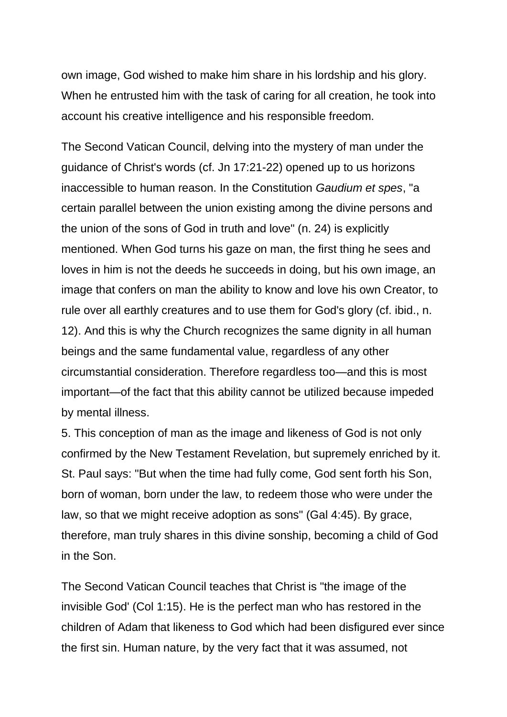own image, God wished to make him share in his lordship and his glory. When he entrusted him with the task of caring for all creation, he took into account his creative intelligence and his responsible freedom.

The Second Vatican Council, delving into the mystery of man under the guidance of Christ's words (cf. Jn 17:21-22) opened up to us horizons inaccessible to human reason. In the Constitution *Gaudium et spes*, "a certain parallel between the union existing among the divine persons and the union of the sons of God in truth and love" (n. 24) is explicitly mentioned. When God turns his gaze on man, the first thing he sees and loves in him is not the deeds he succeeds in doing, but his own image, an image that confers on man the ability to know and love his own Creator, to rule over all earthly creatures and to use them for God's glory (cf. ibid., n. 12). And this is why the Church recognizes the same dignity in all human beings and the same fundamental value, regardless of any other circumstantial consideration. Therefore regardless too—and this is most important—of the fact that this ability cannot be utilized because impeded by mental illness.

5. This conception of man as the image and likeness of God is not only confirmed by the New Testament Revelation, but supremely enriched by it. St. Paul says: "But when the time had fully come, God sent forth his Son, born of woman, born under the law, to redeem those who were under the law, so that we might receive adoption as sons" (Gal 4:45). By grace, therefore, man truly shares in this divine sonship, becoming a child of God in the Son.

The Second Vatican Council teaches that Christ is "the image of the invisible God' (Col 1:15). He is the perfect man who has restored in the children of Adam that likeness to God which had been disfigured ever since the first sin. Human nature, by the very fact that it was assumed, not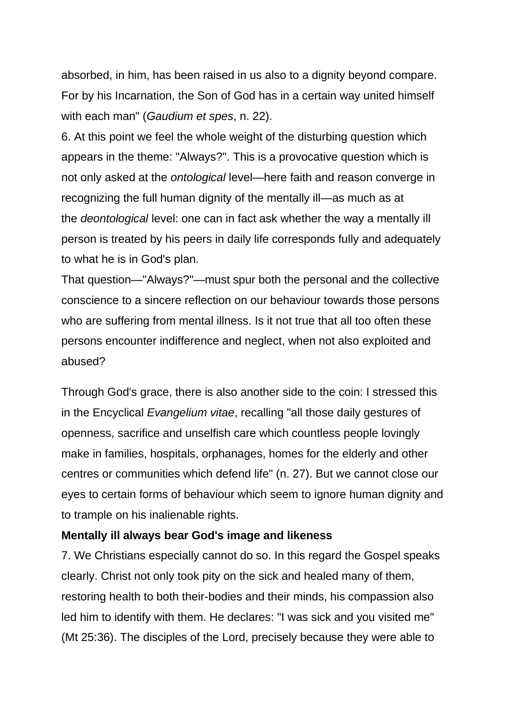absorbed, in him, has been raised in us also to a dignity beyond compare. For by his Incarnation, the Son of God has in a certain way united himself with each man" (*Gaudium et spes*, n. 22).

6. At this point we feel the whole weight of the disturbing question which appears in the theme: "Always?". This is a provocative question which is not only asked at the *ontological* level—here faith and reason converge in recognizing the full human dignity of the mentally ill—as much as at the *deontological* level: one can in fact ask whether the way a mentally ill person is treated by his peers in daily life corresponds fully and adequately to what he is in God's plan.

That question—"Always?"—must spur both the personal and the collective conscience to a sincere reflection on our behaviour towards those persons who are suffering from mental illness. Is it not true that all too often these persons encounter indifference and neglect, when not also exploited and abused?

Through God's grace, there is also another side to the coin: I stressed this in the Encyclical *Evangelium vitae*, recalling "all those daily gestures of openness, sacrifice and unselfish care which countless people lovingly make in families, hospitals, orphanages, homes for the elderly and other centres or communities which defend life" (n. 27). But we cannot close our eyes to certain forms of behaviour which seem to ignore human dignity and to trample on his inalienable rights.

#### **Mentally ill always bear God's image and likeness**

7. We Christians especially cannot do so. In this regard the Gospel speaks clearly. Christ not only took pity on the sick and healed many of them, restoring health to both their-bodies and their minds, his compassion also led him to identify with them. He declares: "I was sick and you visited me" (Mt 25:36). The disciples of the Lord, precisely because they were able to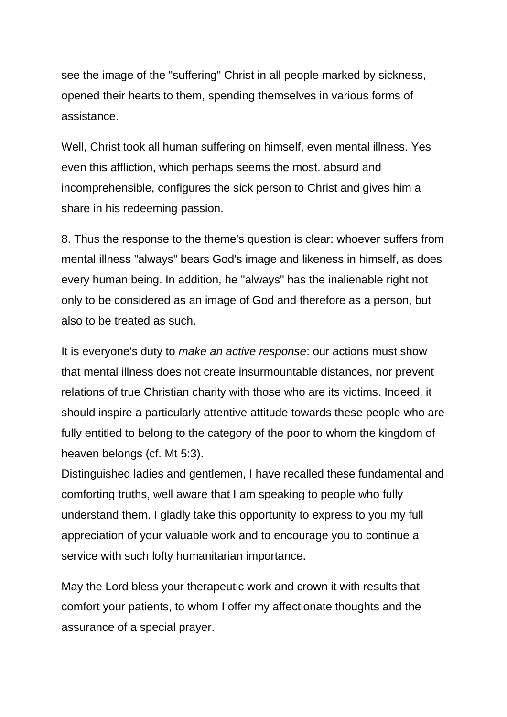see the image of the "suffering" Christ in all people marked by sickness, opened their hearts to them, spending themselves in various forms of assistance.

Well, Christ took all human suffering on himself, even mental illness. Yes even this affliction, which perhaps seems the most. absurd and incomprehensible, configures the sick person to Christ and gives him a share in his redeeming passion.

8. Thus the response to the theme's question is clear: whoever suffers from mental illness "always" bears God's image and likeness in himself, as does every human being. In addition, he "always" has the inalienable right not only to be considered as an image of God and therefore as a person, but also to be treated as such.

It is everyone's duty to *make an active response*: our actions must show that mental illness does not create insurmountable distances, nor prevent relations of true Christian charity with those who are its victims. Indeed, it should inspire a particularly attentive attitude towards these people who are fully entitled to belong to the category of the poor to whom the kingdom of heaven belongs (cf. Mt 5:3).

Distinguished ladies and gentlemen, I have recalled these fundamental and comforting truths, well aware that I am speaking to people who fully understand them. I gladly take this opportunity to express to you my full appreciation of your valuable work and to encourage you to continue a service with such lofty humanitarian importance.

May the Lord bless your therapeutic work and crown it with results that comfort your patients, to whom I offer my affectionate thoughts and the assurance of a special prayer.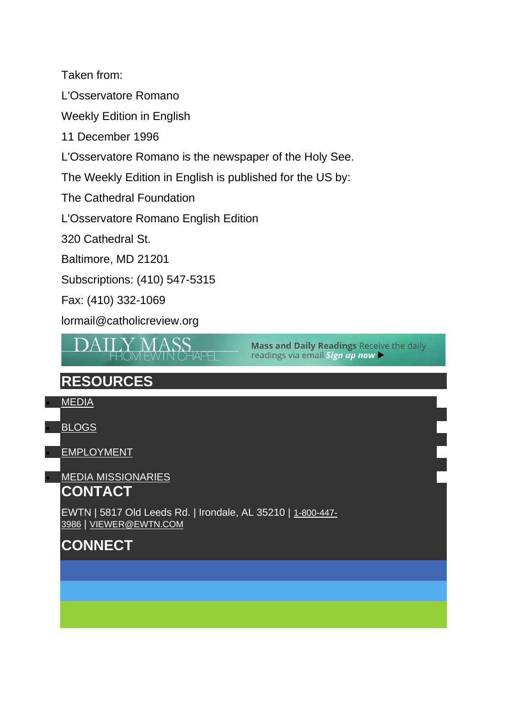Taken from:

L'Osservatore Romano

Weekly Edition in English

11 December 1996

L'Osservatore Romano is the newspaper of the Holy See.

The Weekly Edition in English is published for the US by:

The Cathedral Foundation

L'Osservatore Romano English Edition

320 Cathedral St.

Baltimore, MD 21201

Subscriptions: (410) 547-5315

Fax: (410) 332-1069

lormail@catholicreview.org



**Mass and Daily Readings Receive the daily** readings via email Sign up now

## **RESOURCES**

• [MEDIA](https://www.ewtn.com/media/)

• [BLOGS](https://www.ewtn.com/blogs)

**[EMPLOYMENT](https://www.ewtn.com/employment)** 

**[MEDIA MISSIONARIES](https://www.ewtnmissionaries.com/)** 

### **CONTACT**

EWTN | 5817 Old Leeds Rd. | Irondale, AL 35210 | [1-800-447-](tel:18004473986) [3986](tel:18004473986) | [VIEWER@EWTN.COM](mailto:viewer@ewtn.com)

## **CONNECT**